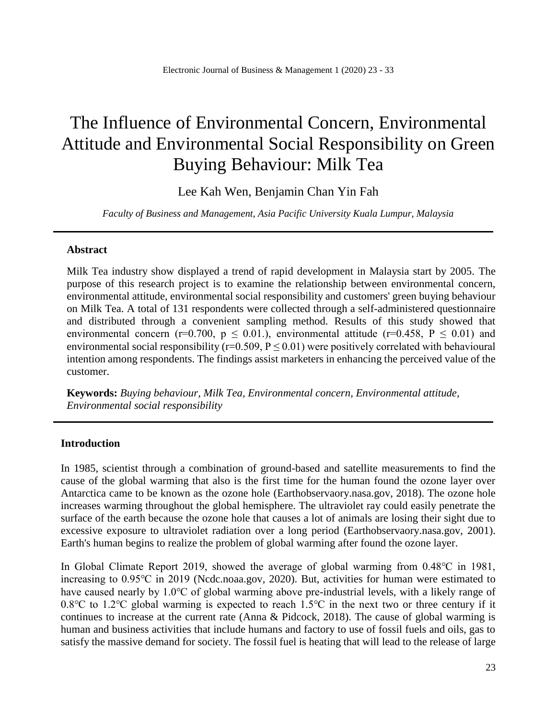# The Influence of Environmental Concern, Environmental Attitude and Environmental Social Responsibility on Green Buying Behaviour: Milk Tea

Lee Kah Wen, Benjamin Chan Yin Fah

*Faculty of Business and Management, Asia Pacific University Kuala Lumpur, Malaysia*

# **Abstract**

Milk Tea industry show displayed a trend of rapid development in Malaysia start by 2005. The purpose of this research project is to examine the relationship between environmental concern, environmental attitude, environmental social responsibility and customers' green buying behaviour on Milk Tea. A total of 131 respondents were collected through a self-administered questionnaire and distributed through a convenient sampling method. Results of this study showed that environmental concern (r=0.700,  $p \le 0.01$ ), environmental attitude (r=0.458, P  $\le 0.01$ ) and environmental social responsibility ( $r=0.509$ ,  $P \le 0.01$ ) were positively correlated with behavioural intention among respondents. The findings assist marketers in enhancing the perceived value of the customer.

**Keywords:** *Buying behaviour, Milk Tea, Environmental concern, Environmental attitude, Environmental social responsibility*

# **Introduction**

In 1985, scientist through a combination of ground-based and satellite measurements to find the cause of the global warming that also is the first time for the human found the ozone layer over Antarctica came to be known as the ozone hole (Earthobservaory.nasa.gov, 2018). The ozone hole increases warming throughout the global hemisphere. The ultraviolet ray could easily penetrate the surface of the earth because the ozone hole that causes a lot of animals are losing their sight due to excessive exposure to ultraviolet radiation over a long period (Earthobservaory.nasa.gov, 2001). Earth's human begins to realize the problem of global warming after found the ozone layer.

In Global Climate Report 2019, showed the average of global warming from 0.48℃ in 1981, increasing to 0.95℃ in 2019 (Ncdc.noaa.gov, 2020). But, activities for human were estimated to have caused nearly by 1.0℃ of global warming above pre-industrial levels, with a likely range of 0.8℃ to 1.2℃ global warming is expected to reach 1.5℃ in the next two or three century if it continues to increase at the current rate (Anna & Pidcock, 2018). The cause of global warming is human and business activities that include humans and factory to use of fossil fuels and oils, gas to satisfy the massive demand for society. The fossil fuel is heating that will lead to the release of large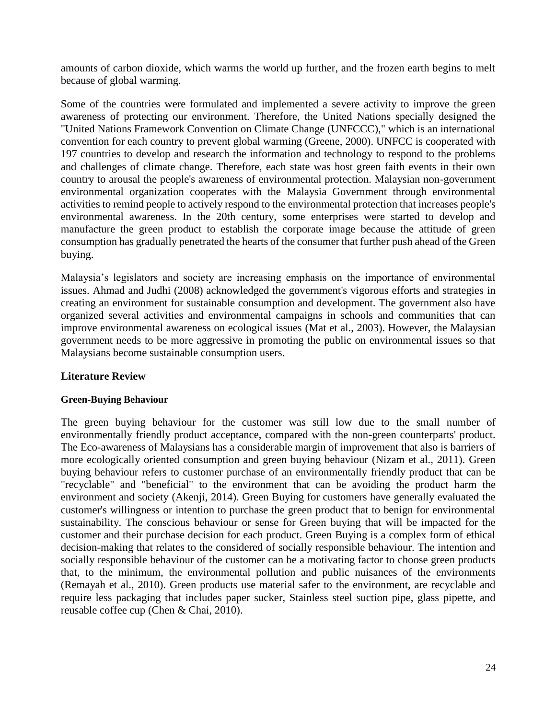amounts of carbon dioxide, which warms the world up further, and the frozen earth begins to melt because of global warming.

Some of the countries were formulated and implemented a severe activity to improve the green awareness of protecting our environment. Therefore, the United Nations specially designed the "United Nations Framework Convention on Climate Change (UNFCCC)," which is an international convention for each country to prevent global warming (Greene, 2000). UNFCC is cooperated with 197 countries to develop and research the information and technology to respond to the problems and challenges of climate change. Therefore, each state was host green faith events in their own country to arousal the people's awareness of environmental protection. Malaysian non-government environmental organization cooperates with the Malaysia Government through environmental activities to remind people to actively respond to the environmental protection that increases people's environmental awareness. In the 20th century, some enterprises were started to develop and manufacture the green product to establish the corporate image because the attitude of green consumption has gradually penetrated the hearts of the consumer that further push ahead of the Green buying.

Malaysia's legislators and society are increasing emphasis on the importance of environmental issues. Ahmad and Judhi (2008) acknowledged the government's vigorous efforts and strategies in creating an environment for sustainable consumption and development. The government also have organized several activities and environmental campaigns in schools and communities that can improve environmental awareness on ecological issues (Mat et al., 2003). However, the Malaysian government needs to be more aggressive in promoting the public on environmental issues so that Malaysians become sustainable consumption users.

# **Literature Review**

# **Green-Buying Behaviour**

The green buying behaviour for the customer was still low due to the small number of environmentally friendly product acceptance, compared with the non-green counterparts' product. The Eco-awareness of Malaysians has a considerable margin of improvement that also is barriers of more ecologically oriented consumption and green buying behaviour (Nizam et al., 2011). Green buying behaviour refers to customer purchase of an environmentally friendly product that can be "recyclable" and "beneficial" to the environment that can be avoiding the product harm the environment and society (Akenji, 2014). Green Buying for customers have generally evaluated the customer's willingness or intention to purchase the green product that to benign for environmental sustainability. The conscious behaviour or sense for Green buying that will be impacted for the customer and their purchase decision for each product. Green Buying is a complex form of ethical decision-making that relates to the considered of socially responsible behaviour. The intention and socially responsible behaviour of the customer can be a motivating factor to choose green products that, to the minimum, the environmental pollution and public nuisances of the environments (Remayah et al., 2010). Green products use material safer to the environment, are recyclable and require less packaging that includes paper sucker, Stainless steel suction pipe, glass pipette, and reusable coffee cup (Chen & Chai, 2010).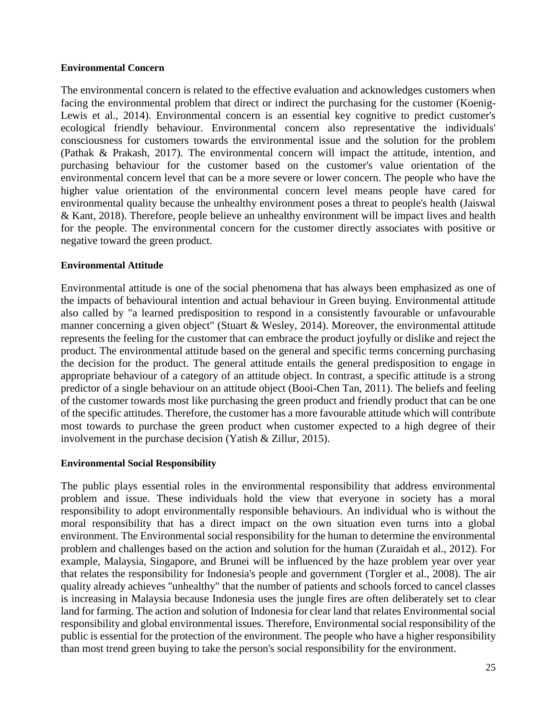### **Environmental Concern**

The environmental concern is related to the effective evaluation and acknowledges customers when facing the environmental problem that direct or indirect the purchasing for the customer (Koenig-Lewis et al., 2014). Environmental concern is an essential key cognitive to predict customer's ecological friendly behaviour. Environmental concern also representative the individuals' consciousness for customers towards the environmental issue and the solution for the problem (Pathak & Prakash, 2017). The environmental concern will impact the attitude, intention, and purchasing behaviour for the customer based on the customer's value orientation of the environmental concern level that can be a more severe or lower concern. The people who have the higher value orientation of the environmental concern level means people have cared for environmental quality because the unhealthy environment poses a threat to people's health (Jaiswal & Kant, 2018). Therefore, people believe an unhealthy environment will be impact lives and health for the people. The environmental concern for the customer directly associates with positive or negative toward the green product.

### **Environmental Attitude**

Environmental attitude is one of the social phenomena that has always been emphasized as one of the impacts of behavioural intention and actual behaviour in Green buying. Environmental attitude also called by "a learned predisposition to respond in a consistently favourable or unfavourable manner concerning a given object" (Stuart & Wesley, 2014). Moreover, the environmental attitude represents the feeling for the customer that can embrace the product joyfully or dislike and reject the product. The environmental attitude based on the general and specific terms concerning purchasing the decision for the product. The general attitude entails the general predisposition to engage in appropriate behaviour of a category of an attitude object. In contrast, a specific attitude is a strong predictor of a single behaviour on an attitude object (Booi-Chen Tan, 2011). The beliefs and feeling of the customer towards most like purchasing the green product and friendly product that can be one of the specific attitudes. Therefore, the customer has a more favourable attitude which will contribute most towards to purchase the green product when customer expected to a high degree of their involvement in the purchase decision (Yatish & Zillur, 2015).

# **Environmental Social Responsibility**

The public plays essential roles in the environmental responsibility that address environmental problem and issue. These individuals hold the view that everyone in society has a moral responsibility to adopt environmentally responsible behaviours. An individual who is without the moral responsibility that has a direct impact on the own situation even turns into a global environment. The Environmental social responsibility for the human to determine the environmental problem and challenges based on the action and solution for the human (Zuraidah et al., 2012). For example, Malaysia, Singapore, and Brunei will be influenced by the haze problem year over year that relates the responsibility for Indonesia's people and government (Torgler et al., 2008). The air quality already achieves "unhealthy" that the number of patients and schools forced to cancel classes is increasing in Malaysia because Indonesia uses the jungle fires are often deliberately set to clear land for farming. The action and solution of Indonesia for clear land that relates Environmental social responsibility and global environmental issues. Therefore, Environmental social responsibility of the public is essential for the protection of the environment. The people who have a higher responsibility than most trend green buying to take the person's social responsibility for the environment.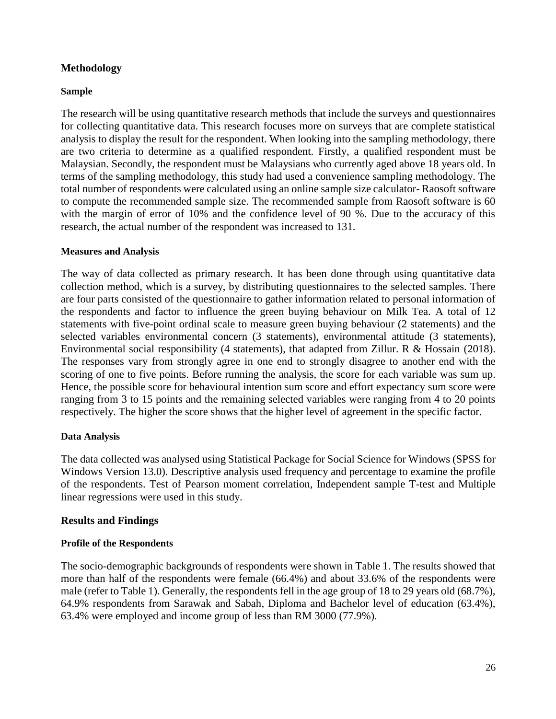# **Methodology**

### **Sample**

The research will be using quantitative research methods that include the surveys and questionnaires for collecting quantitative data. This research focuses more on surveys that are complete statistical analysis to display the result for the respondent. When looking into the sampling methodology, there are two criteria to determine as a qualified respondent. Firstly, a qualified respondent must be Malaysian. Secondly, the respondent must be Malaysians who currently aged above 18 years old. In terms of the sampling methodology, this study had used a convenience sampling methodology. The total number of respondents were calculated using an online sample size calculator- Raosoft software to compute the recommended sample size. The recommended sample from Raosoft software is 60 with the margin of error of 10% and the confidence level of 90 %. Due to the accuracy of this research, the actual number of the respondent was increased to 131.

### **Measures and Analysis**

The way of data collected as primary research. It has been done through using quantitative data collection method, which is a survey, by distributing questionnaires to the selected samples. There are four parts consisted of the questionnaire to gather information related to personal information of the respondents and factor to influence the green buying behaviour on Milk Tea. A total of 12 statements with five-point ordinal scale to measure green buying behaviour (2 statements) and the selected variables environmental concern (3 statements), environmental attitude (3 statements), Environmental social responsibility (4 statements), that adapted from Zillur. R & Hossain (2018). The responses vary from strongly agree in one end to strongly disagree to another end with the scoring of one to five points. Before running the analysis, the score for each variable was sum up. Hence, the possible score for behavioural intention sum score and effort expectancy sum score were ranging from 3 to 15 points and the remaining selected variables were ranging from 4 to 20 points respectively. The higher the score shows that the higher level of agreement in the specific factor.

# **Data Analysis**

The data collected was analysed using Statistical Package for Social Science for Windows (SPSS for Windows Version 13.0). Descriptive analysis used frequency and percentage to examine the profile of the respondents. Test of Pearson moment correlation, Independent sample T-test and Multiple linear regressions were used in this study.

# **Results and Findings**

### **Profile of the Respondents**

The socio-demographic backgrounds of respondents were shown in Table 1. The results showed that more than half of the respondents were female (66.4%) and about 33.6% of the respondents were male (refer to Table 1). Generally, the respondents fell in the age group of 18 to 29 years old (68.7%), 64.9% respondents from Sarawak and Sabah, Diploma and Bachelor level of education (63.4%), 63.4% were employed and income group of less than RM 3000 (77.9%).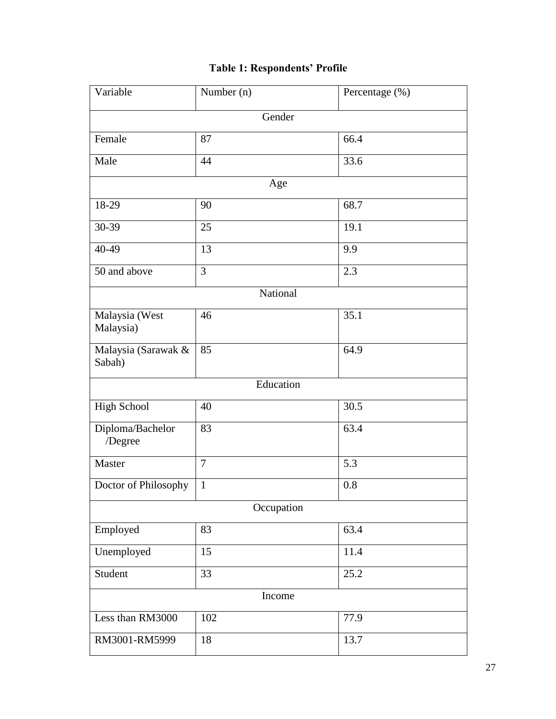# **Table 1: Respondents' Profile**

| Variable                      | Number (n)     | Percentage (%) |  |  |  |
|-------------------------------|----------------|----------------|--|--|--|
| Gender                        |                |                |  |  |  |
| Female                        | 87<br>66.4     |                |  |  |  |
| Male                          | 44             | 33.6           |  |  |  |
|                               | Age            |                |  |  |  |
| 18-29                         | 68.7           |                |  |  |  |
| 30-39                         | 25             | 19.1           |  |  |  |
| 40-49                         | 13             | 9.9            |  |  |  |
| 50 and above                  | 3              | 2.3            |  |  |  |
|                               | National       |                |  |  |  |
| Malaysia (West<br>Malaysia)   | 46             | 35.1           |  |  |  |
| Malaysia (Sarawak &<br>Sabah) | 85             | 64.9           |  |  |  |
|                               | Education      |                |  |  |  |
| <b>High School</b>            | 40             | 30.5           |  |  |  |
| Diploma/Bachelor<br>/Degree   | 83             | 63.4           |  |  |  |
| Master                        | $\overline{7}$ | 5.3            |  |  |  |
| Doctor of Philosophy          | $\mathbf{1}$   | 0.8            |  |  |  |
|                               | Occupation     |                |  |  |  |
| Employed                      | 83             | 63.4           |  |  |  |
| Unemployed                    | 15             | 11.4           |  |  |  |
| Student                       | 33             | 25.2           |  |  |  |
| Income                        |                |                |  |  |  |
| Less than RM3000              | 102            | 77.9           |  |  |  |
| RM3001-RM5999                 | 18             | 13.7           |  |  |  |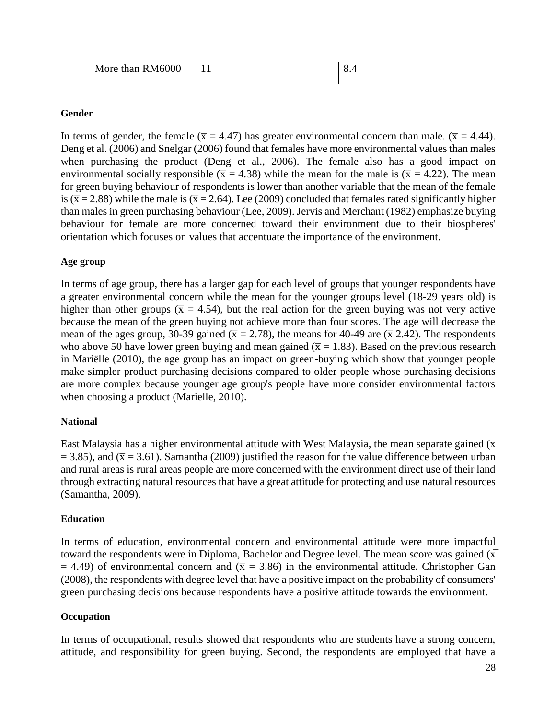| More than RM6000 | . . | $\Omega$<br>.∪.−າ |
|------------------|-----|-------------------|
|                  |     |                   |

### **Gender**

In terms of gender, the female ( $\bar{x} = 4.47$ ) has greater environmental concern than male. ( $\bar{x} = 4.44$ ). Deng et al. (2006) and Snelgar (2006) found that females have more environmental values than males when purchasing the product (Deng et al., 2006). The female also has a good impact on environmental socially responsible ( $\bar{x}$  = 4.38) while the mean for the male is ( $\bar{x}$  = 4.22). The mean for green buying behaviour of respondents is lower than another variable that the mean of the female is ( $\bar{x}$  = 2.88) while the male is ( $\bar{x}$  = 2.64). Lee (2009) concluded that females rated significantly higher than males in green purchasing behaviour (Lee, 2009). Jervis and Merchant (1982) emphasize buying behaviour for female are more concerned toward their environment due to their biospheres' orientation which focuses on values that accentuate the importance of the environment.

### **Age group**

In terms of age group, there has a larger gap for each level of groups that younger respondents have a greater environmental concern while the mean for the younger groups level (18-29 years old) is higher than other groups ( $\bar{x} = 4.54$ ), but the real action for the green buying was not very active because the mean of the green buying not achieve more than four scores. The age will decrease the mean of the ages group, 30-39 gained ( $\bar{x}$  = 2.78), the means for 40-49 are ( $\bar{x}$  2.42). The respondents who above 50 have lower green buying and mean gained ( $\bar{x}$  = 1.83). Based on the previous research in Mariëlle (2010), the age group has an impact on green-buying which show that younger people make simpler product purchasing decisions compared to older people whose purchasing decisions are more complex because younger age group's people have more consider environmental factors when choosing a product (Marielle, 2010).

# **National**

East Malaysia has a higher environmental attitude with West Malaysia, the mean separate gained  $(\bar{x})$  $= 3.85$ ), and ( $\bar{x} = 3.61$ ). Samantha (2009) justified the reason for the value difference between urban and rural areas is rural areas people are more concerned with the environment direct use of their land through extracting natural resources that have a great attitude for protecting and use natural resources (Samantha, 2009).

### **Education**

In terms of education, environmental concern and environmental attitude were more impactful toward the respondents were in Diploma, Bachelor and Degree level. The mean score was gained  $(\overline{x})$  $=$  4.49) of environmental concern and ( $\bar{x}$  = 3.86) in the environmental attitude. Christopher Gan (2008), the respondents with degree level that have a positive impact on the probability of consumers' green purchasing decisions because respondents have a positive attitude towards the environment.

# **Occupation**

In terms of occupational, results showed that respondents who are students have a strong concern, attitude, and responsibility for green buying. Second, the respondents are employed that have a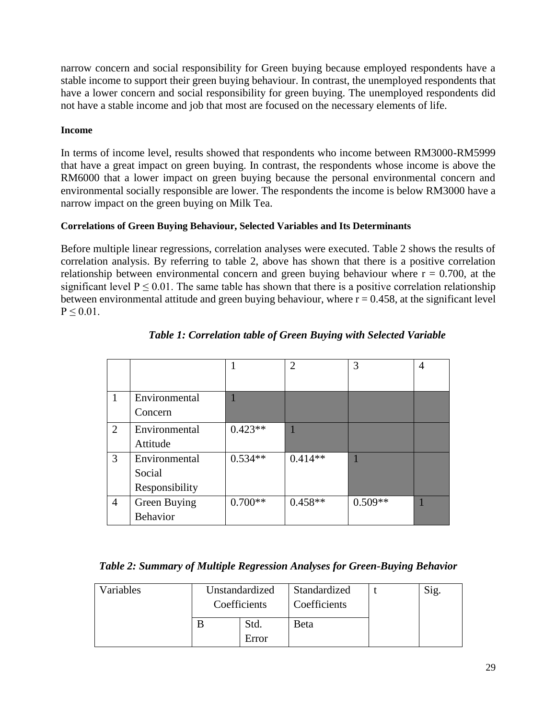narrow concern and social responsibility for Green buying because employed respondents have a stable income to support their green buying behaviour. In contrast, the unemployed respondents that have a lower concern and social responsibility for green buying. The unemployed respondents did not have a stable income and job that most are focused on the necessary elements of life.

# **Income**

In terms of income level, results showed that respondents who income between RM3000-RM5999 that have a great impact on green buying. In contrast, the respondents whose income is above the RM6000 that a lower impact on green buying because the personal environmental concern and environmental socially responsible are lower. The respondents the income is below RM3000 have a narrow impact on the green buying on Milk Tea.

# **Correlations of Green Buying Behaviour, Selected Variables and Its Determinants**

Before multiple linear regressions, correlation analyses were executed. Table 2 shows the results of correlation analysis. By referring to table 2, above has shown that there is a positive correlation relationship between environmental concern and green buying behaviour where  $r = 0.700$ , at the significant level  $P \le 0.01$ . The same table has shown that there is a positive correlation relationship between environmental attitude and green buying behaviour, where  $r = 0.458$ , at the significant level  $P \leq 0.01$ .

|                |                 |           | $\overline{2}$ | 3         | 4 |
|----------------|-----------------|-----------|----------------|-----------|---|
|                |                 |           |                |           |   |
| 1              | Environmental   |           |                |           |   |
|                | Concern         |           |                |           |   |
| 2              | Environmental   | $0.423**$ |                |           |   |
|                | Attitude        |           |                |           |   |
| 3              | Environmental   | $0.534**$ | $0.414**$      |           |   |
|                | Social          |           |                |           |   |
|                | Responsibility  |           |                |           |   |
| $\overline{4}$ | Green Buying    | $0.700**$ | $0.458**$      | $0.509**$ |   |
|                | <b>Behavior</b> |           |                |           |   |

# *Table 1: Correlation table of Green Buying with Selected Variable*

# *Table 2: Summary of Multiple Regression Analyses for Green-Buying Behavior*

| Variables | Unstandardized<br>Coefficients |               | Standardized<br>Coefficients | Sig. |
|-----------|--------------------------------|---------------|------------------------------|------|
|           |                                | Std.<br>Error | Beta                         |      |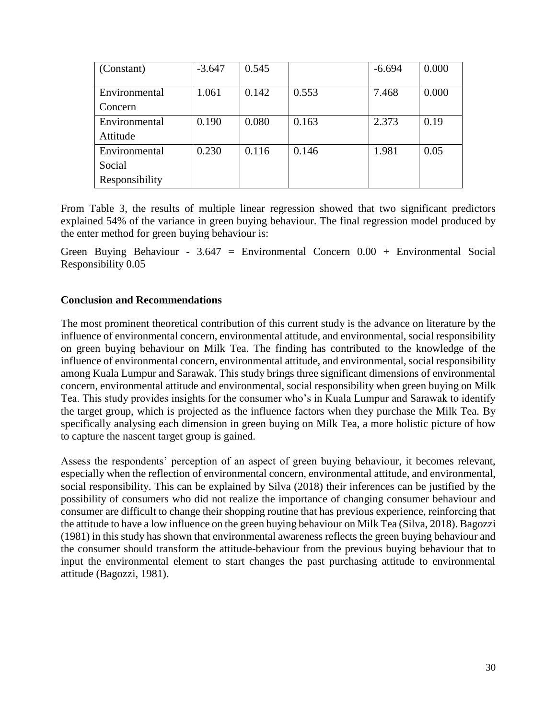| (Constant)     | $-3.647$ | 0.545 |       | $-6.694$ | 0.000 |
|----------------|----------|-------|-------|----------|-------|
| Environmental  | 1.061    | 0.142 | 0.553 | 7.468    | 0.000 |
|                |          |       |       |          |       |
| Concern        |          |       |       |          |       |
| Environmental  | 0.190    | 0.080 | 0.163 | 2.373    | 0.19  |
| Attitude       |          |       |       |          |       |
| Environmental  | 0.230    | 0.116 | 0.146 | 1.981    | 0.05  |
| Social         |          |       |       |          |       |
| Responsibility |          |       |       |          |       |

From Table 3, the results of multiple linear regression showed that two significant predictors explained 54% of the variance in green buying behaviour. The final regression model produced by the enter method for green buying behaviour is:

Green Buying Behaviour - 3.647 = Environmental Concern  $0.00 +$  Environmental Social Responsibility 0.05

# **Conclusion and Recommendations**

The most prominent theoretical contribution of this current study is the advance on literature by the influence of environmental concern, environmental attitude, and environmental, social responsibility on green buying behaviour on Milk Tea. The finding has contributed to the knowledge of the influence of environmental concern, environmental attitude, and environmental, social responsibility among Kuala Lumpur and Sarawak. This study brings three significant dimensions of environmental concern, environmental attitude and environmental, social responsibility when green buying on Milk Tea. This study provides insights for the consumer who's in Kuala Lumpur and Sarawak to identify the target group, which is projected as the influence factors when they purchase the Milk Tea. By specifically analysing each dimension in green buying on Milk Tea, a more holistic picture of how to capture the nascent target group is gained.

Assess the respondents' perception of an aspect of green buying behaviour, it becomes relevant, especially when the reflection of environmental concern, environmental attitude, and environmental, social responsibility. This can be explained by Silva (2018) their inferences can be justified by the possibility of consumers who did not realize the importance of changing consumer behaviour and consumer are difficult to change their shopping routine that has previous experience, reinforcing that the attitude to have a low influence on the green buying behaviour on Milk Tea (Silva, 2018). Bagozzi (1981) in this study has shown that environmental awareness reflects the green buying behaviour and the consumer should transform the attitude-behaviour from the previous buying behaviour that to input the environmental element to start changes the past purchasing attitude to environmental attitude (Bagozzi, 1981).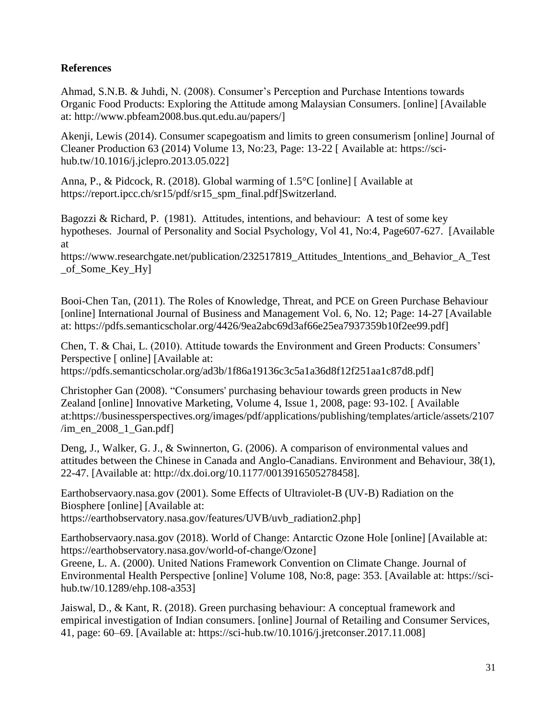# **References**

Ahmad, S.N.B. & Juhdi, N. (2008). Consumer's Perception and Purchase Intentions towards Organic Food Products: Exploring the Attitude among Malaysian Consumers. [online] [Available at: http://www.pbfeam2008.bus.qut.edu.au/papers/]

Akenji, Lewis (2014). Consumer scapegoatism and limits to green consumerism [online] Journal of Cleaner Production 63 (2014) Volume 13, No:23, Page: 13-22 [ Available at: https://scihub.tw/10.1016/j.jclepro.2013.05.022]

Anna, P., & Pidcock, R. (2018). Global warming of 1.5°C [online] [ Available at [https://report.ipcc.ch/sr15/pdf/sr15\\_spm\\_final.pdf\]](https://report.ipcc.ch/sr15/pdf/sr15_spm_final.pdf)Switzerland.

Bagozzi & Richard, P. (1981). Attitudes, intentions, and behaviour: A test of some key hypotheses. Journal of Personality and Social Psychology, Vol 41, No:4, Page607-627. [Available at

https://www.researchgate.net/publication/232517819\_Attitudes\_Intentions\_and\_Behavior\_A\_Test \_of\_Some\_Key\_Hy]

Booi-Chen Tan, (2011). The Roles of Knowledge, Threat, and PCE on Green Purchase Behaviour [online] International Journal of Business and Management Vol. 6, No. 12; Page: 14-27 [Available at: https://pdfs.semanticscholar.org/4426/9ea2abc69d3af66e25ea7937359b10f2ee99.pdf]

Chen, T. & Chai, L. (2010). Attitude towards the Environment and Green Products: Consumers' Perspective [ online] [Available at: https://pdfs.semanticscholar.org/ad3b/1f86a19136c3c5a1a36d8f12f251aa1c87d8.pdf]

Christopher Gan (2008). "Consumers' purchasing behaviour towards green products in New Zealand [online] Innovative Marketing, Volume 4, Issue 1, 2008, page: 93-102. [ Available at:https://businessperspectives.org/images/pdf/applications/publishing/templates/article/assets/2107 /im\_en\_2008\_1\_Gan.pdf]

Deng, J., Walker, G. J., & Swinnerton, G. (2006). A comparison of environmental values and attitudes between the Chinese in Canada and Anglo-Canadians. Environment and Behaviour, 38(1), 22-47. [Available at: http://dx.doi.org/10.1177/0013916505278458].

Earthobservaory.nasa.gov (2001). Some Effects of Ultraviolet-B (UV-B) Radiation on the Biosphere [online] [Available at: https://earthobservatory.nasa.gov/features/UVB/uvb\_radiation2.php]

Earthobservaory.nasa.gov (2018). World of Change: Antarctic Ozone Hole [online] [Available at: [https://earthobservatory.nasa.gov/world-of-change/Ozone\]](https://earthobservatory.nasa.gov/world-of-change/Ozone)

Greene, L. A. (2000). United Nations Framework Convention on Climate Change. Journal of Environmental Health Perspective [online] Volume 108, No:8, page: 353. [Available at: https://scihub.tw/10.1289/ehp.108-a353]

Jaiswal, D., & Kant, R. (2018). Green purchasing behaviour: A conceptual framework and empirical investigation of Indian consumers. [online] Journal of Retailing and Consumer Services, 41, page: 60–69. [Available at: https://sci-hub.tw/10.1016/j.jretconser.2017.11.008]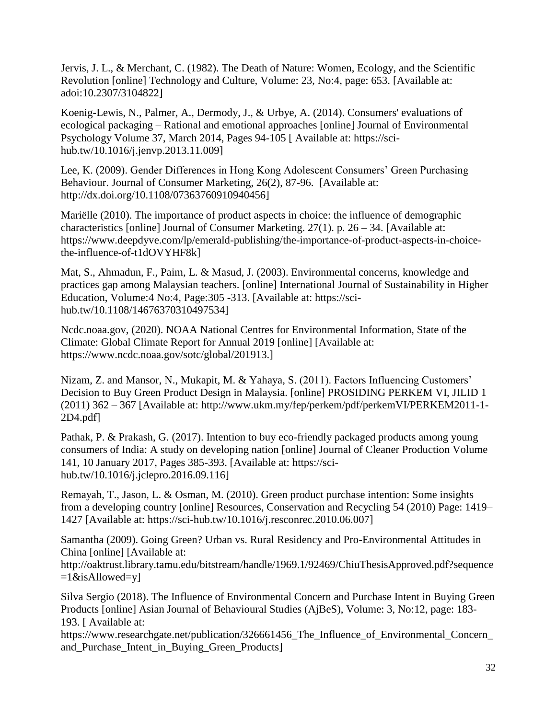Jervis, J. L., & Merchant, C. (1982). The Death of Nature: Women, Ecology, and the Scientific Revolution [online] Technology and Culture, Volume: 23, No:4, page: 653. [Available at: adoi:10.2307/3104822]

Koenig-Lewis, N., Palmer, A., Dermody, J., & Urbye, A. (2014). Consumers' evaluations of ecological packaging – Rational and emotional approaches [online] [Journal of Environmental](https://www.sciencedirect.com/science/journal/02724944)  [Psychology](https://www.sciencedirect.com/science/journal/02724944) [Volume 37,](https://www.sciencedirect.com/science/journal/02724944/37/supp/C) March 2014, Pages 94-105 [ Available at: https://scihub.tw/10.1016/j.jenvp.2013.11.009]

Lee, K. (2009). Gender Differences in Hong Kong Adolescent Consumers' Green Purchasing Behaviour. Journal of Consumer Marketing, 26(2), 87-96. [Available at: http://dx.doi.org/10.1108/07363760910940456]

Mariëlle (2010). The importance of product aspects in choice: the influence of demographic characteristics [online] Journal of Consumer Marketing. 27(1). p. 26 – 34. [Available at: https://www.deepdyve.com/lp/emerald-publishing/the-importance-of-product-aspects-in-choicethe-influence-of-t1dOVYHF8k]

Mat, S., Ahmadun, F., Paim, L. & Masud, J. (2003). Environmental concerns, knowledge and practices gap among Malaysian teachers. [online] International Journal of Sustainability in Higher Education, Volume:4 No:4, Page:305 -313. [Available at: https://scihub.tw/10.1108/14676370310497534]

Ncdc.noaa.gov, (2020). NOAA National Centres for Environmental Information, State of the Climate: Global Climate Report for Annual 2019 [online] [Available at: https://www.ncdc.noaa.gov/sotc/global/201913.]

Nizam, Z. and Mansor, N., Mukapit, M. & Yahaya, S. (2011). Factors Influencing Customers' Decision to Buy Green Product Design in Malaysia. [online] PROSIDING PERKEM VI, JILID 1 (2011) 362 – 367 [Available at: http://www.ukm.my/fep/perkem/pdf/perkemVI/PERKEM2011-1- 2D4.pdf]

Pathak, P. & Prakash, G. (2017). Intention to buy eco-friendly packaged products among young consumers of India: A study on developing nation [online] [Journal of Cleaner Production](https://www.sciencedirect.com/science/journal/09596526) [Volume](https://www.sciencedirect.com/science/journal/09596526/141/supp/C)  [141,](https://www.sciencedirect.com/science/journal/09596526/141/supp/C) 10 January 2017, Pages 385-393. [Available at: https://scihub.tw/10.1016/j.jclepro.2016.09.116]

Remayah, T., Jason, L. & Osman, M. (2010). Green product purchase intention: Some insights from a developing country [online] Resources, Conservation and Recycling 54 (2010) Page: 1419– 1427 [Available at: https://sci-hub.tw/10.1016/j.resconrec.2010.06.007]

Samantha (2009). Going Green? Urban vs. Rural Residency and Pro-Environmental Attitudes in China [online] [Available at:

http://oaktrust.library.tamu.edu/bitstream/handle/1969.1/92469/ChiuThesisApproved.pdf?sequence  $=1$ &isAllowed=y]

Silva Sergio (2018). The Influence of Environmental Concern and Purchase Intent in Buying Green Products [online] Asian Journal of Behavioural Studies (AjBeS), Volume: 3, No:12, page: 183- 193. [ Available at:

https://www.researchgate.net/publication/326661456 The Influence of Environmental Concern and\_Purchase\_Intent\_in\_Buying\_Green\_Products]